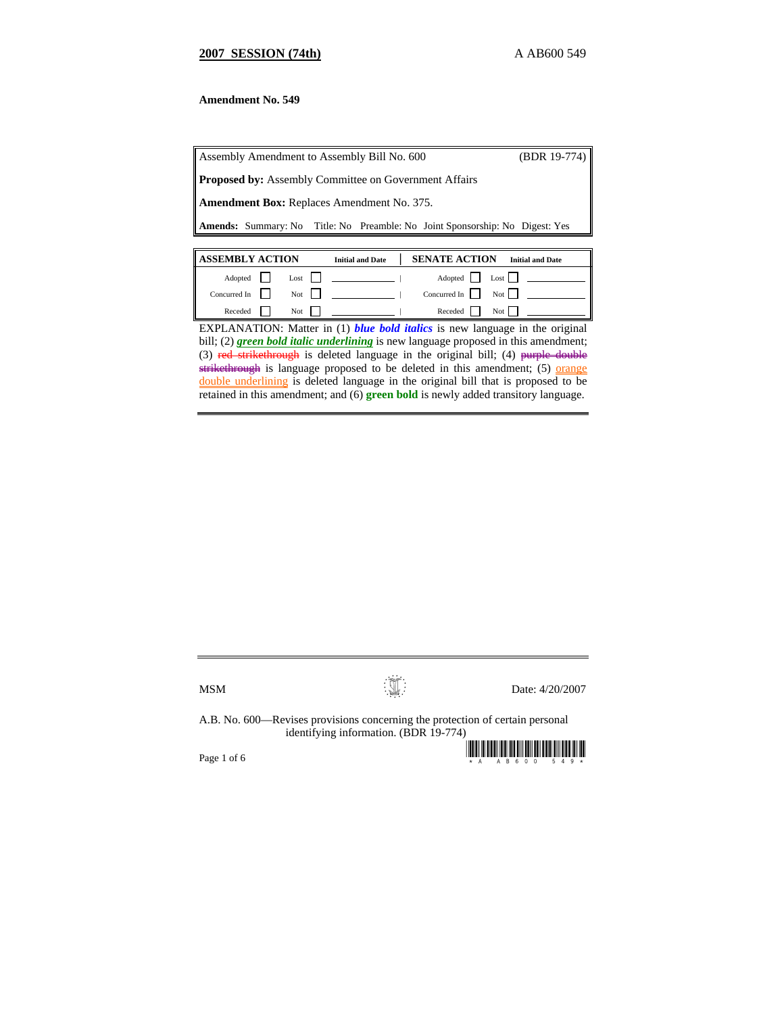# **2007 SESSION (74th)** A AB600 549

# **Amendment No. 549**

| Assembly Amendment to Assembly Bill No. 600                  |  |  |  |                                                                                     | $(BDR 19-774)$          |
|--------------------------------------------------------------|--|--|--|-------------------------------------------------------------------------------------|-------------------------|
| <b>Proposed by:</b> Assembly Committee on Government Affairs |  |  |  |                                                                                     |                         |
| <b>Amendment Box:</b> Replaces Amendment No. 375.            |  |  |  |                                                                                     |                         |
|                                                              |  |  |  | <b>Amends:</b> Summary: No Title: No Preamble: No Joint Sponsorship: No Digest: Yes |                         |
|                                                              |  |  |  |                                                                                     |                         |
| <b>ASSEMBLY ACTION</b><br><b>Initial and Date</b>            |  |  |  | <b>SENATE ACTION</b>                                                                | <b>Initial and Date</b> |
|                                                              |  |  |  |                                                                                     |                         |

| Concurred In $\vert \vert$ Not $\vert \vert$<br>Concurred In $\vert \vert$<br>Not $\vert$<br>Receded Not<br>Receded  <br>$Not$ | $Adopted$ | $Last \mid$ | Adopted   Lost |  |
|--------------------------------------------------------------------------------------------------------------------------------|-----------|-------------|----------------|--|
|                                                                                                                                |           |             |                |  |
|                                                                                                                                |           |             |                |  |

EXPLANATION: Matter in (1) *blue bold italics* is new language in the original bill; (2) **green bold italic underlining** is new language proposed in this amendment; (3) red strikethrough is deleted language in the original bill; (4) purple double strikethrough is language proposed to be deleted in this amendment; (5) orange double underlining is deleted language in the original bill that is proposed to be retained in this amendment; and (6) **green bold** is newly added transitory language.

 $MSM$  Date: 4/20/2007

A.B. No. 600—Revises provisions concerning the protection of certain personal identifying information. (BDR 19-774)

Page 1 of 6  $\blacksquare$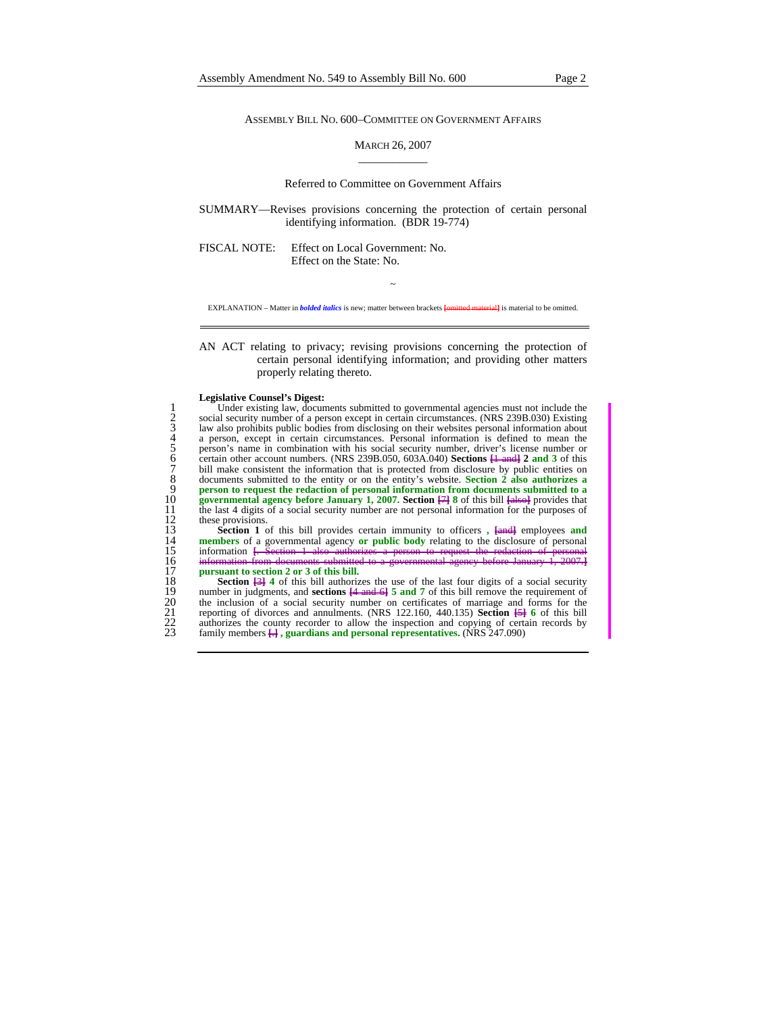ASSEMBLY BILL NO. 600–COMMITTEE ON GOVERNMENT AFFAIRS

## MARCH 26, 2007 \_\_\_\_\_\_\_\_\_\_\_\_

#### Referred to Committee on Government Affairs

SUMMARY—Revises provisions concerning the protection of certain personal identifying information. (BDR 19-774)

FISCAL NOTE: Effect on Local Government: No. Effect on the State: No.

~ EXPLANATION – Matter in *bolded italics* is new; matter between brackets **[**omitted material**]** is material to be omitted.

### AN ACT relating to privacy; revising provisions concerning the protection of certain personal identifying information; and providing other matters properly relating thereto.

#### **Legislative Counsel's Digest:**

Under existing law, documents submitted to governmental agencies must not include the<br>social security number of a person except in certain circumstances. (NRS 239B.030) Existing<br>a law also prohibits public bodies from disc social security number of a person except in certain circumstances. (NRS 239B.030) Existing law also prohibits public bodies from disclosing on their websites personal information about 4 a person, except in certain circumstances. Personal information is defined to mean the 5 person's name in combination with his social security number, driver's license number or 6 certain other account numbers. (NRS 239B.050, 603A.040) **Sections [**1 and**] 2 and 3** of this bill make consistent the information that is protected from disclosure by public entities on 8 documents submitted to the entity or on the entity's website. **Section 2 also authorizes a**  9 **person to request the redaction of personal information from documents submitted to a** *p* **governmental agency before January 1, 2007. Section**  $\overline{47}$  **8 of this bill falsed provides that** 10 **governmental agency before January 1, 2007. Section**  $\frac{1}{\sqrt{7}}$  **8** of this bill **[also**] provides that the last 4 digits of a social security number are not personal information for the purposes of these provisions. 11 the last 4 digits of a social security number are not personal information for the purposes of 12 these provisions.<br>13 **Section 1** o

**Section 1** of this bill provides certain immunity to officers,  $\frac{[and]}{[and]}$  employees and 14 members of a governmental agency or public body relating to the disclosure of personal information  $\frac{[and]}{[and]}$ . Section 1 also **members** of a governmental agency **or public body** relating to the disclosure of personal information **[**. Section 1 also authorizes a person to request the redaction of personal 15 information <del>[. Section 1 also authorized</del> 16 information from documents submitted to 16 information from documents submitted to<br>17 **pursuant to section 2 or 3 of this bill.** 

17 **pursuant to section 2 or 3 of this bill.**<br>18 **Section <del>121</del> 4 of this bill authorizion 18 Section**  $\frac{13}{5}$  **<b>4** of this bill authorizes the use of the last four digits of a social security number in judgments, and **sections 14 and 61 5 and 7** of this bill remove the requirement of 19 number in judgments, and **sections [4 and 6] 5 and 7** of this bill remove the requirement of the inclusion of a social security number on certificates of marriage and forms for the reporting of divorces and annulments 20 the inclusion of a social security number on certificates of marriage and forms for the reporting of divorces and annulments. (NRS 122.160, 440.135) **Section [5] 6** of this bill 22 authorizes the county recorder to allow the inspection and copying of certain records by<br>22 authorizes the county recorder to allow the inspection and copying of certain records by<br>23 family members  $\overline{H}$ , guardians 23 family members **[**.**] , guardians and personal representatives.** (NRS 247.090)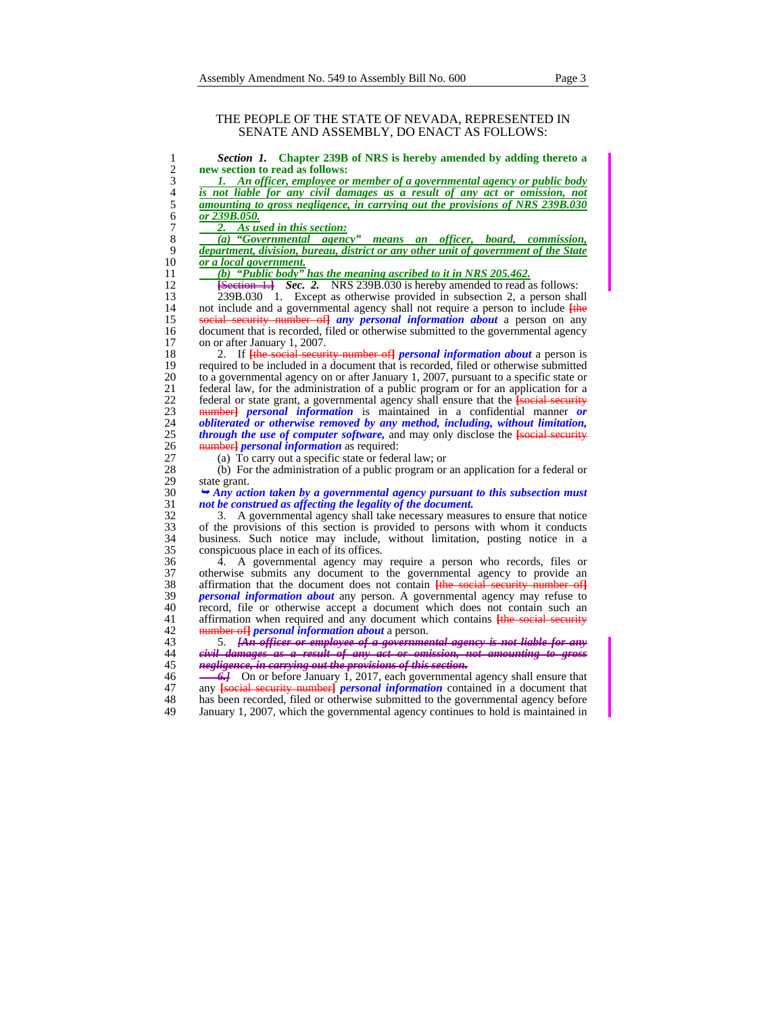## THE PEOPLE OF THE STATE OF NEVADA, REPRESENTED IN SENATE AND ASSEMBLY, DO ENACT AS FOLLOWS:

| Section 1. Chapter 239B of NRS is hereby amended by adding thereto a                                                                      |
|-------------------------------------------------------------------------------------------------------------------------------------------|
| new section to read as follows:                                                                                                           |
| 1. An officer, employee or member of a governmental agency or public body                                                                 |
| is not liable for any civil damages as a result of any act or omission, not                                                               |
| <u>amounting to gross negligence, in carrying out the provisions of NRS 239B.030</u>                                                      |
| or 239B.050.                                                                                                                              |
| 2.<br>As used in this section:                                                                                                            |
| (a) "Governmental agency"<br>means an officer, board, commission,                                                                         |
| department, division, bureau, district or any other unit of government of the State                                                       |
| or a local government.                                                                                                                    |
| (b) "Public body" has the meaning ascribed to it in NRS $205.462$ .                                                                       |
| $\frac{f}{f}$ Section 1.1 Sec. 2. NRS 239B.030 is hereby amended to read as follows:                                                      |
| 239B.030 1. Except as otherwise provided in subsection 2, a person shall                                                                  |
| not include and a governmental agency shall not require a person to include <i>[the</i> ]                                                 |
| social security number of any personal information about a person on any                                                                  |
| document that is recorded, filed or otherwise submitted to the governmental agency                                                        |
| on or after January 1, 2007.                                                                                                              |
| If the social security number of <i>personal information about</i> a person is<br>2.                                                      |
| required to be included in a document that is recorded, filed or otherwise submitted                                                      |
| to a governmental agency on or after January 1, 2007, pursuant to a specific state or                                                     |
| federal law, for the administration of a public program or for an application for a                                                       |
| federal or state grant, a governmental agency shall ensure that the <b>[social security</b>                                               |
| number] <i>personal information</i> is maintained in a confidential manner or                                                             |
| obliterated or otherwise removed by any method, including, without limitation,                                                            |
|                                                                                                                                           |
| <i>through the use of computer software</i> , and may only disclose the <b>[social security</b>                                           |
| <b>number</b> <i>personal information</i> as required:                                                                                    |
| (a) To carry out a specific state or federal law; or<br>(b) For the administration of a public program or an application for a federal or |
|                                                                                                                                           |
| state grant.                                                                                                                              |
| $\rightarrow$ Any action taken by a governmental agency pursuant to this subsection must                                                  |
| not be construed as affecting the legality of the document.                                                                               |
| A governmental agency shall take necessary measures to ensure that notice<br>3.                                                           |
| of the provisions of this section is provided to persons with whom it conducts                                                            |
| business. Such notice may include, without limitation, posting notice in a                                                                |
| conspicuous place in each of its offices.                                                                                                 |
| A governmental agency may require a person who records, files or<br>4.                                                                    |
| otherwise submits any document to the governmental agency to provide an                                                                   |
| affirmation that the document does not contain the social security number of                                                              |
| <i>personal information about</i> any person. A governmental agency may refuse to                                                         |
| record, file or otherwise accept a document which does not contain such an                                                                |
| affirmation when required and any document which contains the social security                                                             |
| number of <i>personal information about</i> a person.                                                                                     |
| [An officer or employee of a governmental agency is not liable for any<br>5.                                                              |
| eivil damages as a result of any act or omission, not amounting to gross                                                                  |
| negligence, in earrying out the provisions of this section.                                                                               |
| <b>6.</b> On or before January 1, 2017, each governmental agency shall ensure that                                                        |
| any <b>social security number</b> <i>personal information</i> contained in a document that                                                |
| has been recorded, filed or otherwise submitted to the governmental agency before                                                         |
| January 1, 2007, which the governmental agency continues to hold is maintained in                                                         |
|                                                                                                                                           |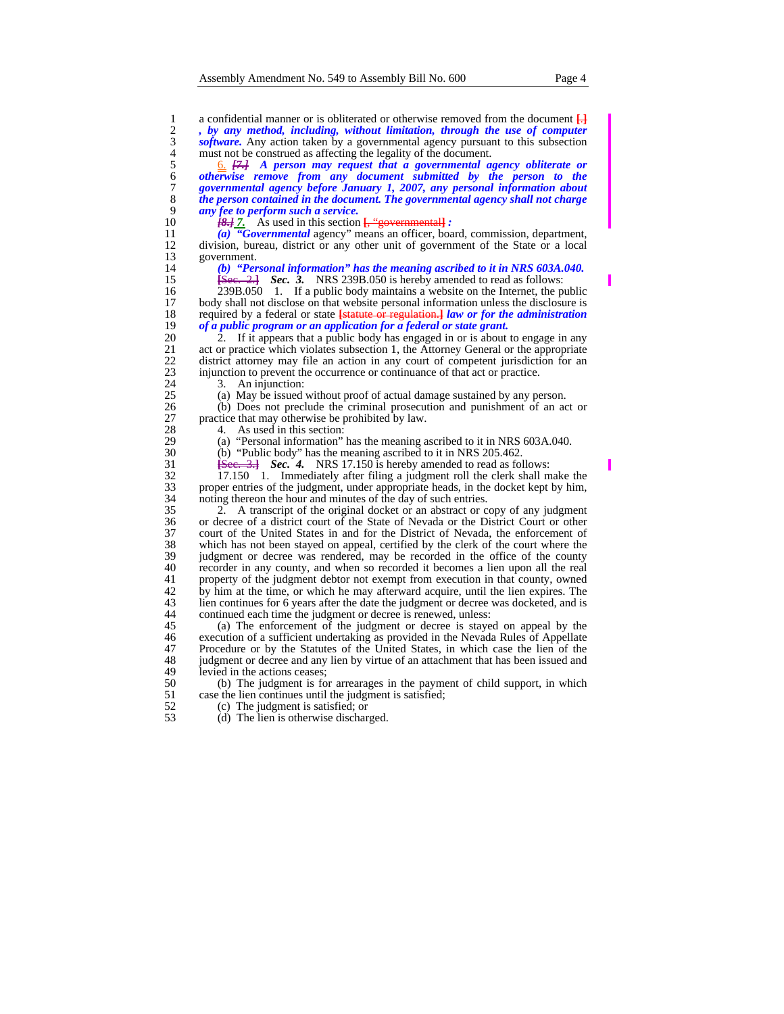1 a confidential manner or is obliterated or otherwise removed from the document  $\frac{1}{1}$ , by any method, including, without limitation, through the use of computer software. Any action taken by a governmental agency purs 2 *, by any method, including, without limitation, through the use of computer*  3 *software*. Any action taken by a governmental agency pursuant to this subsection must not be construed as affecting the legality of the document.

4 must not be construed as affecting the legality of the document.<br>  $\frac{6}{4}$   $\frac{1}{6}$   $\frac{1}{6}$  A person may request that a governmental as<br>  $\frac{6}{7}$  otherwise remove from any document submitted by the governmental age 5 6. *[7.] A person may request that a governmental agency obliterate or otherwise remove from any document submitted by the person to the governmental agency before January 1, 2007, any personal information about the person contained in the document. The governmental agency shall not charge any fee to perform such a service.* 

11  $\overline{(a)}$  <sup> $\overline{(b)}$ </sup> *(Governmental* agency" means an officer, board, commission, department, 12 division, bureau, district or any other unit of government of the State or a local 12 division, bureau, district or any other unit of government of the State or a local 13 government.<br>14 (b) "Per

14 *(b) "Personal information" has the meaning ascribed to it in NRS 603A.040.*<br>15 <del>**15ee.** 2.1</del> *Sec.* 3. NRS 239B.050 is hereby amended to read as follows:

15 **[**Sec. 2.**]** *Sec. 3.* NRS 239B.050 is hereby amended to read as follows: 16 239B.050 1. If a public body maintains a website on the Internet, the public<br>17 body shall not disclose on that website personal information unless the disclosure is 17 body shall not disclose on that website personal information unless the disclosure is<br>18 required by a federal or state **Istatute or regulation. Law or for the administration** 18 required by a federal or state **[**statute or regulation.**]** *law or for the administration* 

19 *of a public program or an application for a federal or state grant.*<br>20 2. If it appears that a public body has engaged in or is about 20 2. If it appears that a public body has engaged in or is about to engage in any act or practice which violates subsection 1, the Attorney General or the appropriate 21 act or practice which violates subsection 1, the Attorney General or the appropriate<br>22 district attorney may file an action in any court of competent jurisdiction for an 22 district attorney may file an action in any court of competent jurisdiction for an injunction to prevent the occurrence or continuance of that act or practice. 23 injunction to prevent the occurrence or continuance of that act or practice.<br>24 3. An injunction:

24 3. An injunction:<br>25 (a) May be issued

25 (a) May be issued without proof of actual damage sustained by any person.<br>26 (b) Does not preclude the criminal prosecution and punishment of an ac

26 (b) Does not preclude the criminal prosecution and punishment of an act or practice that may otherwise be prohibited by law. 27 practice that may otherwise be prohibited by law.<br>28 4. As used in this section:

28 4. As used in this section:<br>29 (a) "Personal information"

29 (a) "Personal information" has the meaning ascribed to it in NRS 603A.040.<br>30 (b) "Public body" has the meaning ascribed to it in NRS 205.462.

30 (b) "Public body" has the meaning ascribed to it in NRS 205.462.<br>31 <del>[See, 3.]</del> **Sec. 4.** NRS 17.150 is hereby amended to read as fol

31 **[**Sec. 3.**]** *Sec. 4.* NRS 17.150 is hereby amended to read as follows:

32 17.150 1. Immediately after filing a judgment roll the clerk shall make the 33 proper entries of the judgment, under appropriate heads, in the docket kept by him, noting thereon the hour and minutes of the day of such entries. 34 noting thereon the hour and minutes of the day of such entries.<br>35 2. A transcript of the original docket or an abstract or c

35 2. A transcript of the original docket or an abstract or copy of any judgment 36 or decree of a district court of the State of Nevada or the District Court or other 37 court of the United States in and for the District of Nevada, the enforcement of which has not been stayed on appeal, certified by the clerk of the court where the 38 which has not been stayed on appeal, certified by the clerk of the court where the 39 judgment or decree was rendered, may be recorded in the office of the county recorder in any county, and when so recorded it becomes a lien upon all the real 40 recorder in any county, and when so recorded it becomes a lien upon all the real property of the judgment debtor not exempt from execution in that county, owned 41 property of the judgment debtor not exempt from execution in that county, owned 42 by him at the time, or which he may afterward acquire, until the lien expires. The 42 by him at the time, or which he may afterward acquire, until the lien expires. The lien continues for 6 years after the date the judgment or decree was docketed, and is 43 lien continues for 6 years after the date the judgment or decree was docketed, and is continued each time the judgment or decree is renewed, unless: 44 continued each time the judgment or decree is renewed, unless:<br>45 (a) The enforcement of the judgment or decree is stave

45 (a) The enforcement of the judgment or decree is stayed on appeal by the execution of a sufficient undertaking as provided in the Nevada Rules of Appellate 46 execution of a sufficient undertaking as provided in the Nevada Rules of Appellate 47 Procedure or by the Statutes of the United States, in which case the lien of the 47 Procedure or by the Statutes of the United States, in which case the lien of the judgment or decree and any lien by virtue of an attachment that has been issued and 48 judgment or decree and any lien by virtue of an attachment that has been issued and levied in the actions ceases: 49 levied in the actions ceases;<br>50 (b) The judgment is fo

50 (b) The judgment is for arrearages in the payment of child support, in which 51 case the lien continues until the judgment is satisfied;<br>52 (c) The judgment is satisfied; or

- 52 (c) The judgment is satisfied; or<br>53 (d) The lien is otherwise dischar
	- (d) The lien is otherwise discharged.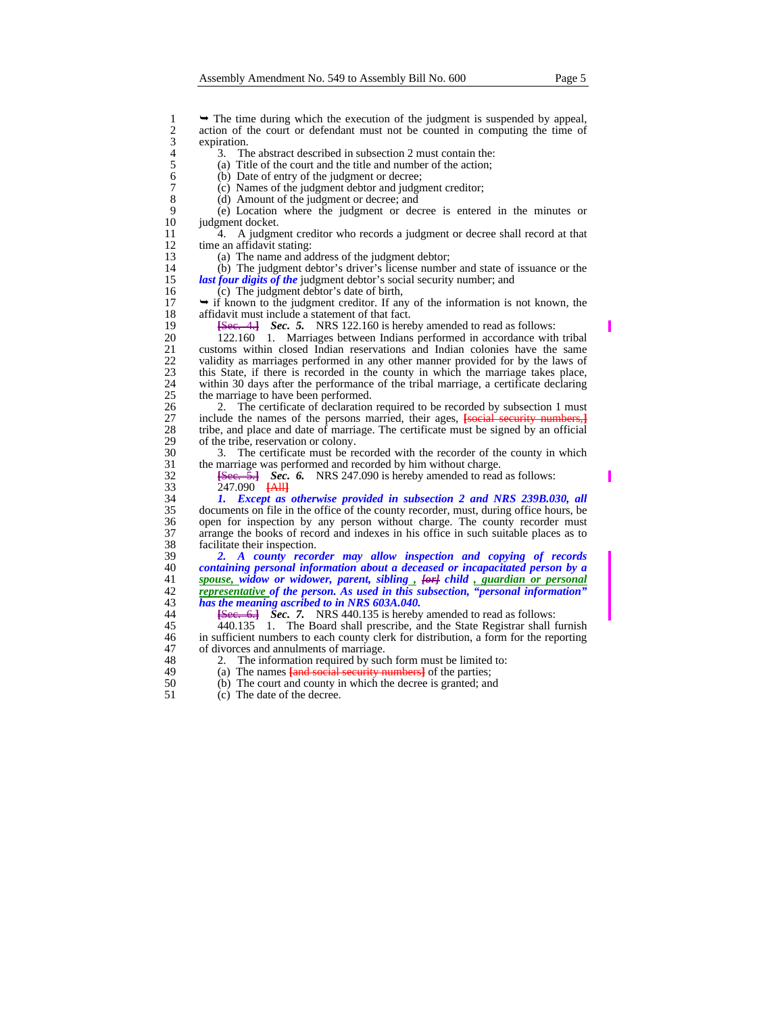1 → The time during which the execution of the judgment is suspended by appeal,<br>
2 action of the court or defendant must not be counted in computing the time of<br>
2 action.<br>
3. The abstract described in subsection 2 must c action of the court or defendant must not be counted in computing the time of expiration.

4 3. The abstract described in subsection 2 must contain the:<br>
(a) Title of the court and the title and number of the action;

- 5 (a) Title of the court and the title and number of the action;<br>6 (b) Date of entry of the judgment or decree;
- 6 (b) Date of entry of the judgment or decree;<br>7 (c) Names of the judgment debtor and judgm
- 7 (c) Names of the judgment debtor and judgment creditor;<br>8 (d) Amount of the judgment or decree; and
- 8 (d) Amount of the judgment or decree; and<br>9 (e) Location where the judgment or dec

9 (e) Location where the judgment or decree is entered in the minutes or 10 judgment docket.<br>11 4. A judgment

11 4. A judgment creditor who records a judgment or decree shall record at that time an affidavit stating: 12 time an affidavit stating:<br>13 (a) The name and ac

13 (a) The name and address of the judgment debtor;<br>14 (b) The judgment debtor's driver's license numbe

14 (b) The judgment debtor's driver's license number and state of issuance or the *last four digits of the* judgment debtor's social security number; and 15 *last four digits of the* judgment debtor's social security number; and 16 (c) The judgment debtor's date of birth,

16 (c) The judgment debtor's date of birth,<br>17  $\rightarrow$  if known to the judgment creditor. If an 17  $\rightarrow$  if known to the judgment creditor. If any of the information is not known, the affidavit must include a statement of that fact. 18 affidavit must include a statement of that fact.<br>19 <del>[Sec. 4.]</del> Sec. 5. NRS 122.160 is here

19 **[**Sec. 4.**]** *Sec. 5.* NRS 122.160 is hereby amended to read as follows:

20 122.160 1. Marriages between Indians performed in accordance with tribal<br>21 customs within closed Indian reservations and Indian colonies have the same 21 customs within closed Indian reservations and Indian colonies have the same validity as marriages performed in any other manner provided for by the laws of 22 validity as marriages performed in any other manner provided for by the laws of this State, if there is recorded in the county in which the marriage takes place, 23 this State, if there is recorded in the county in which the marriage takes place, within 30 days after the performance of the tribal marriage, a certificate declaring 24 within 30 days after the performance of the tribal marriage, a certificate declaring 25 the marriage to have been performed.<br>26 2. The certificate of declaration

26 2. The certificate of declaration required to be recorded by subsection 1 must include the names of the persons married, their ages, **[social security numbers,]** 27 include the names of the persons married, their ages, **[**social security numbers, **]** 28 tribe, and place and date of marriage. The certificate must be signed by an official 28 tribe, and place and date of marriage. The certificate must be signed by an official of the tribe, reservation or colony. 29 of the tribe, reservation or colony.<br>30 3. The certificate must be re

30 3. The certificate must be recorded with the recorder of the county in which 31 the marriage was performed and recorded by him without charge.<br>32 <del>[Sec. 5.]</del> **Sec. 6.** NRS 247.090 is hereby amended to read

32 **[**Sec. 5.**]** *Sec. 6.* NRS 247.090 is hereby amended to read as follows:

33 247.090 **[**All**]** 34 *1. Except as otherwise provided in subsection 2 and NRS 239B.030, all*  35 documents on file in the office of the county recorder, must, during office hours, be open for inspection by any person without charge. The county recorder must 36 open for inspection by any person without charge. The county recorder must arrange the books of record and indexes in his office in such suitable places as to 37 arrange the books of record and indexes in his office in such suitable places as to 38 facilitate their inspection.<br>39 2. A county recor

*2. A county recorder may allow inspection and copying of records containing personal information about a deceased or incapacitated person by a spouse, widow or widower, parent, sibling*,  $\frac{f\omega f}{f}$  child  $\frac{f}{g}$  *guardian or personal at a representative of the person. As used in this subsection, "personal information*" *representative of the person. As used in this subsection, "personal information" has the meaning ascribed to in NRS 603A.040.*

44 **[Sec. 6.]** *Sec.* **7. NRS 440.135 is hereby amended to read as follows:<br>45 440.135 1. The Board shall prescribe, and the State Registrar shall f** 45 440.135 1. The Board shall prescribe, and the State Registrar shall furnish<br>46 in sufficient numbers to each county clerk for distribution, a form for the reporting 46 in sufficient numbers to each county clerk for distribution, a form for the reporting of divorces and annulments of marriage. 47 of divorces and annulments of marriage.<br>48 2. The information required by suc

- 
- 48 2. The information required by such form must be limited to:<br>49 (a) The names **fand social security numbers** of the parties;
- 49 (a) The names **[and social security numbers**] of the parties;<br>50 (b) The court and county in which the decree is granted; and 50 (b) The court and county in which the decree is granted; and 51 (c) The date of the decree.
	- 51 (c) The date of the decree.

ı